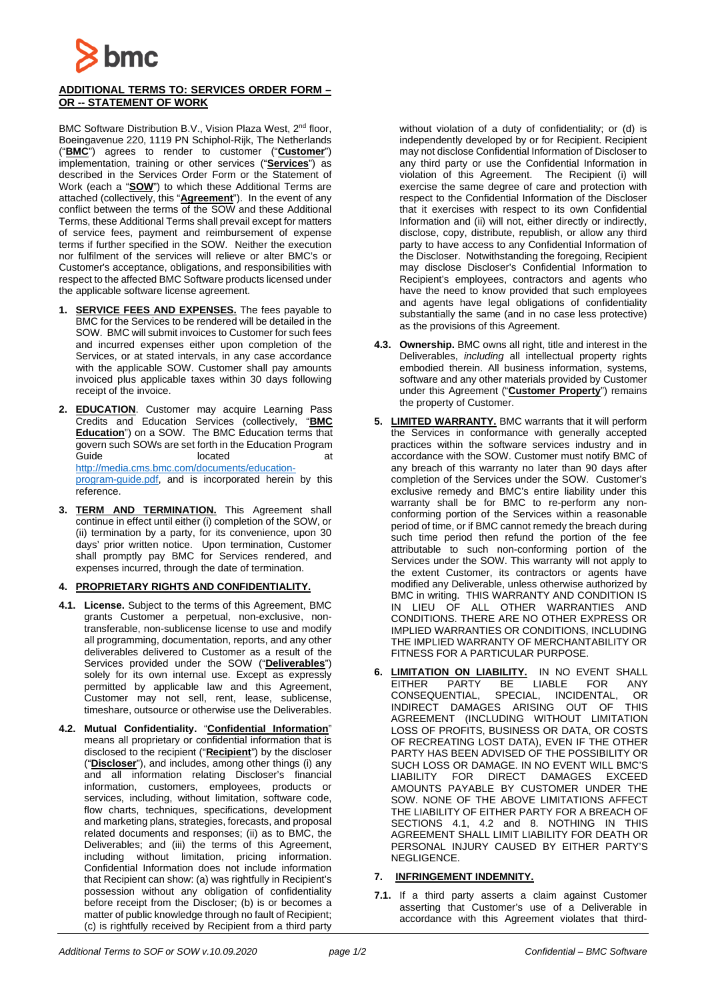

## **ADDITIONAL TERMS TO: SERVICES ORDER FORM – OR -- STATEMENT OF WORK**

BMC Software Distribution B.V., Vision Plaza West, 2<sup>nd</sup> floor, Boeingavenue 220, 1119 PN Schiphol-Rijk, The Netherlands ("**BMC**") agrees to render to customer ("**Customer**") implementation, training or other services ("**Services**") as described in the Services Order Form or the Statement of Work (each a "**SOW**") to which these Additional Terms are attached (collectively, this "**Agreement**"). In the event of any conflict between the terms of the SOW and these Additional Terms, these Additional Terms shall prevail except for matters of service fees, payment and reimbursement of expense terms if further specified in the SOW. Neither the execution nor fulfilment of the services will relieve or alter BMC's or Customer's acceptance, obligations, and responsibilities with respect to the affected BMC Software products licensed under the applicable software license agreement.

- **1. SERVICE FEES AND EXPENSES.** The fees payable to BMC for the Services to be rendered will be detailed in the SOW. BMC will submit invoices to Customer for such fees and incurred expenses either upon completion of the Services, or at stated intervals, in any case accordance with the applicable SOW. Customer shall pay amounts invoiced plus applicable taxes within 30 days following receipt of the invoice.
- **2. EDUCATION**. Customer may acquire Learning Pass Credits and Education Services (collectively, "**BMC Education**") on a SOW. The BMC Education terms that govern such SOWs are set forth in the Education Program Guide located [http://media.cms.bmc.com/documents/education](http://media.cms.bmc.com/documents/education-program-guide.pdf)[program-guide.pdf,](http://media.cms.bmc.com/documents/education-program-guide.pdf) and is incorporated herein by this reference.
- **3. TERM AND TERMINATION.** This Agreement shall continue in effect until either (i) completion of the SOW, or (ii) termination by a party, for its convenience, upon 30 days' prior written notice. Upon termination, Customer shall promptly pay BMC for Services rendered, and expenses incurred, through the date of termination.

## **4. PROPRIETARY RIGHTS AND CONFIDENTIALITY.**

- **4.1. License.** Subject to the terms of this Agreement, BMC grants Customer a perpetual, non-exclusive, nontransferable, non-sublicense license to use and modify all programming, documentation, reports, and any other deliverables delivered to Customer as a result of the Services provided under the SOW ("**Deliverables**") solely for its own internal use. Except as expressly permitted by applicable law and this Agreement, Customer may not sell, rent, lease, sublicense, timeshare, outsource or otherwise use the Deliverables.
- **4.2. Mutual Confidentiality.** "**Confidential Information**" means all proprietary or confidential information that is disclosed to the recipient ("**Recipient**") by the discloser ("**Discloser**"), and includes, among other things (i) any and all information relating Discloser's financial information, customers, employees, products or services, including, without limitation, software code, flow charts, techniques, specifications, development and marketing plans, strategies, forecasts, and proposal related documents and responses; (ii) as to BMC, the Deliverables; and (iii) the terms of this Agreement, including without limitation, pricing information. Confidential Information does not include information that Recipient can show: (a) was rightfully in Recipient's possession without any obligation of confidentiality before receipt from the Discloser; (b) is or becomes a matter of public knowledge through no fault of Recipient; (c) is rightfully received by Recipient from a third party

without violation of a duty of confidentiality; or (d) is independently developed by or for Recipient. Recipient may not disclose Confidential Information of Discloser to any third party or use the Confidential Information in violation of this Agreement. The Recipient (i) will exercise the same degree of care and protection with respect to the Confidential Information of the Discloser that it exercises with respect to its own Confidential Information and (ii) will not, either directly or indirectly, disclose, copy, distribute, republish, or allow any third party to have access to any Confidential Information of the Discloser. Notwithstanding the foregoing, Recipient may disclose Discloser's Confidential Information to Recipient's employees, contractors and agents who have the need to know provided that such employees and agents have legal obligations of confidentiality substantially the same (and in no case less protective) as the provisions of this Agreement.

- **4.3. Ownership.** BMC owns all right, title and interest in the Deliverables, *including* all intellectual property rights embodied therein. All business information, systems, software and any other materials provided by Customer under this Agreement ("**Customer Property**") remains the property of Customer.
- **5. LIMITED WARRANTY.** BMC warrants that it will perform the Services in conformance with generally accepted practices within the software services industry and in accordance with the SOW. Customer must notify BMC of any breach of this warranty no later than 90 days after completion of the Services under the SOW. Customer's exclusive remedy and BMC's entire liability under this warranty shall be for BMC to re-perform any nonconforming portion of the Services within a reasonable period of time, or if BMC cannot remedy the breach during such time period then refund the portion of the fee attributable to such non-conforming portion of the Services under the SOW. This warranty will not apply to the extent Customer, its contractors or agents have modified any Deliverable, unless otherwise authorized by BMC in writing. THIS WARRANTY AND CONDITION IS IN LIEU OF ALL OTHER WARRANTIES AND CONDITIONS. THERE ARE NO OTHER EXPRESS OR IMPLIED WARRANTIES OR CONDITIONS, INCLUDING THE IMPLIED WARRANTY OF MERCHANTABILITY OR FITNESS FOR A PARTICULAR PURPOSE.
- **6. LIMITATION ON LIABILITY.** IN NO EVENT SHALL EITHER PARTY BE LIABLE FOR ANY CONSEQUENTIAL, SPECIAL, INCIDENTAL, OR INDIRECT DAMAGES ARISING OUT OF AGREEMENT (INCLUDING WITHOUT LIMITATION LOSS OF PROFITS, BUSINESS OR DATA, OR COSTS OF RECREATING LOST DATA), EVEN IF THE OTHER PARTY HAS BEEN ADVISED OF THE POSSIBILITY OR SUCH LOSS OR DAMAGE. IN NO EVENT WILL BMC'S LIABILITY FOR DIRECT DAMAGES EXCEED AMOUNTS PAYABLE BY CUSTOMER UNDER THE SOW. NONE OF THE ABOVE LIMITATIONS AFFECT THE LIABILITY OF EITHER PARTY FOR A BREACH OF SECTIONS 4.1, 4.2 and 8. NOTHING IN THIS AGREEMENT SHALL LIMIT LIABILITY FOR DEATH OR PERSONAL INJURY CAUSED BY EITHER PARTY'S NEGLIGENCE.

## **7. INFRINGEMENT INDEMNITY.**

**7.1.** If a third party asserts a claim against Customer asserting that Customer's use of a Deliverable in accordance with this Agreement violates that third-